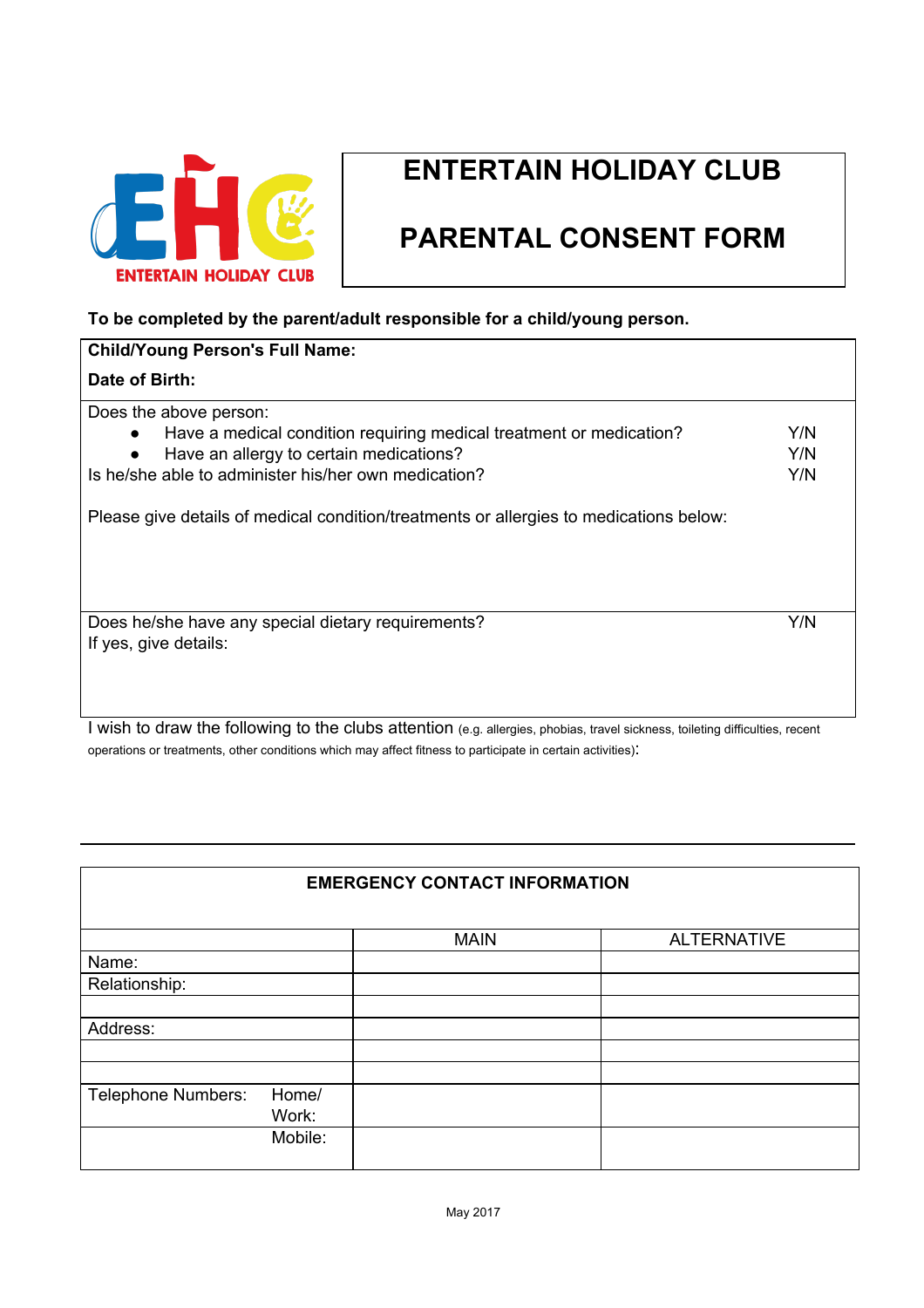

## **ENTERTAIN HOLIDAY CLUB**

## **PARENTAL CONSENT FORM**

## **To be completed by the parent/adult responsible for a child/young person.**

| <b>Child/Young Person's Full Name:</b>                                           |     |  |  |  |
|----------------------------------------------------------------------------------|-----|--|--|--|
| Date of Birth:                                                                   |     |  |  |  |
| Does the above person:                                                           |     |  |  |  |
| Have a medical condition requiring medical treatment or medication?<br>$\bullet$ | Y/N |  |  |  |
| Have an allergy to certain medications?<br>$\bullet$                             | Y/N |  |  |  |
| Is he/she able to administer his/her own medication?                             | Y/N |  |  |  |
|                                                                                  |     |  |  |  |
| Does he/she have any special dietary requirements?                               |     |  |  |  |
| If yes, give details:                                                            |     |  |  |  |
|                                                                                  |     |  |  |  |
|                                                                                  |     |  |  |  |

I wish to draw the following to the clubs attention (e.g. allergies, phobias, travel sickness, toileting difficulties, recent operations or treatments, other conditions which may affect fitness to participate in certain activities):

| <b>EMERGENCY CONTACT INFORMATION</b> |         |             |                    |  |
|--------------------------------------|---------|-------------|--------------------|--|
|                                      |         | <b>MAIN</b> | <b>ALTERNATIVE</b> |  |
| Name:                                |         |             |                    |  |
| Relationship:                        |         |             |                    |  |
|                                      |         |             |                    |  |
| Address:                             |         |             |                    |  |
|                                      |         |             |                    |  |
|                                      |         |             |                    |  |
| <b>Telephone Numbers:</b>            | Home/   |             |                    |  |
|                                      | Work:   |             |                    |  |
|                                      | Mobile: |             |                    |  |
|                                      |         |             |                    |  |